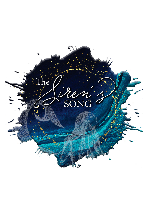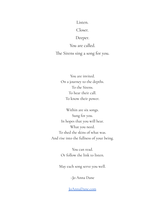Listen.

Closer.

Deeper.

You are called. The Sirens sing a song for you.

You are invited. On a journey to the depths. To the Sirens. To hear their call. To know their power.

Within are six songs. Sung for you. In hopes that you will hear. What you need. To shed the skins of what was. And rise into the fullness of your being.

> You can read. Or follow the link to listen.

May each song serve you well.

~Jo Anna Dane

[JoAnnaDane.com](https://www.joannadane.com/)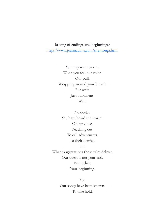## **{a song of endings and beginnings}** <https://www.joannadane.com/sirensong1.html>

You may want to run. When you feel our voice. Our pull. Wrapping around your breath. But wait. Just a moment. Wait.

No doubt. You have heard the stories. Of our voice. Reaching out. To call adventurers. To their demise. But.

What exaggerations those tales deliver. Our quest is not your end. But rather. Your beginning.

> Yes. Our songs have been known. To take hold.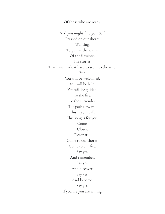Of those who are ready. And you might find yourSelf. Crashed on our shores. Wanting. To pull at the seams. Of the illusions. The stories. That have made it hard to see into the wild. But. You will be welcomed. You will be held. You will be guided. To the fire. To the surrender. The path forward. This is your call. This song is for you. Come. Closer. Closer still. Come to our shores. Come to our fire. Say yes. And remember. Say yes. And discover. Say yes. And become. Say yes. If you are you are willing.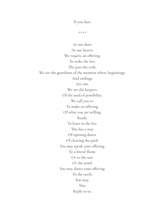If you dare.

\*\*\*\*

At our door. At our hearts. We require an offering. To stoke the fire. The part the veils. We are the guardians of the moment where beginnings. And endings. Are one. We are the keepers. Of the seed of possibility. We call you to. To make an offering. Of what you are willing. Ready. To leave in the fire. This has a way. Of opening doors. Of clearing the path. You may speak your offering. To a literal flame. Or to the sun. Or the wind. You may dance your offering. To the earth. You may. Also. Reply to us.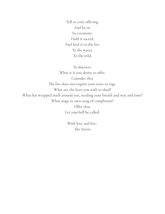Tell us your offering. And let us. In ceremony. Hold it sacred. And feed it to the fire. To the waves. To the wild.

To discover. What it is you desire to offer. Consider this: The fire does not require your tears to rage. What are the fears you wish to shed? What has wrapped itself around you, stealing your breath and way and time? What sings its own song of completion? Offer that. Let yourSelf be called.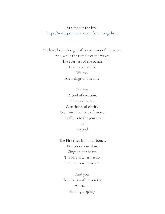### **{a song for the re}**

<https://www.joannadane.com/sirensong2.html>

We have been thought of as creatures of the water. And while the tumble of the waves. The everness of the ocean. Live in our veins. We too. Are beings of The Fire.

> The Fire. A tool of creation. Of destruction. A pathway of clarity. Even with the haze of smoke. It calls us to the journey. In. Beyond.

The Fire rises from our bones. Dances on our skin. Sings in our heart. The Fire is what we do. The Fire is who we are.

And you. The Fire is within you too. A beacon. Shining brightly.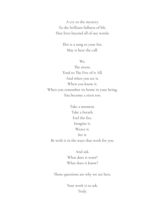A cry to the mystery. To the brilliant fullness of life. That lives beyond all of our words.

> This is a song to your fire. May it hear the call.

> > We.

The sirens. Tend to The Fire of it All. And when you see it. When you know it. When you remember its home in your being. You become a siren too.

Take a moment. Take a breath. Feel the fire. Imagine it. Weave it. See it. Be with it in the ways that work for you.

> And ask. What does it want? What does it know?

Those questions are why we are here.

Your work is to ask. Truly.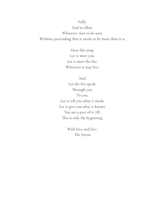### Fully.

And to allow.

Whatever rises to be seen.

Without pretending that it needs to be more than it is.

Hear this song. Let it meet you. Let it meet the fire. Wherever it may live.

And. Let the fire speak. Through you. To you. Let it tell you what it needs. Let it give you what it knows. You are a part of it All. This is only the beginning.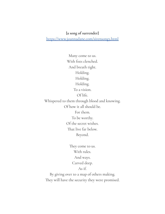## **{a song of surrender}**

<https://www.joannadane.com/sirensong3.html>

Many come to us. With fists clenched. And breath tight. Holding. Holding. Holding. To a vision. Of life. Whispered to them through blood and knowing. Of how it all should be. For them. To be worthy. Of the secret wishes. That live far below. Beyond.

> They come to us. With rules. And ways. Carved deep. As if.

By giving over to a map of others making. They will have the security they were promised.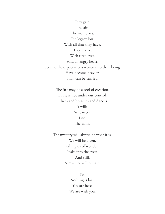They grip. The air. The memories. The legacy lost. With all that they have. They arrive. With tired eyes. And an angry heart. Because the expectations woven into their being. Have become heavier. Than can be carried.

> The fire may be a tool of creation. But it is not under our control. It lives and breathes and dances. It wills. As it needs. Life. The same.

The mystery will always be what it is. We will be given. Glimpses of wonder. Peaks into the evers. And still. A mystery will remain.

> Yet. Nothing is lost. You are here. We are with you.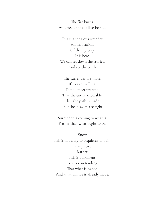The fire burns. And freedom is still to be had.

This is a song of surrender. An invocation. Of the mystery. It is here. We can set down the stories. And see the truth.

The surrender is simple. If you are willing. To no longer pretend. That the end is knowable. That the path is made. That the answers are right.

Surrender is coming to what is. Rather than what ought to be.

Know. This is not a cry to acquiesce to pain. Or injustice. Rather. This is a moment. To stop pretending. That what is, is not. And what will be is already made.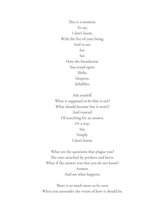This is a moment. To say. I don't know. With the fire of your being. And to see. See. See. How the foundation.

> You stand upon. Shifts. Deepens. Solidifies.

Ask youSelf. What is supposed to be that is not? What should become but it won't? And instead. Of searching for an answer. Or a way. Say. Simply. I don't know.

What are the questions that plague you? The ones attached by prickers and burrs. What if the answer was that you do not know? Answer. And see what happens.

There is so much more to be seen. When you surrender the vision of how it should be.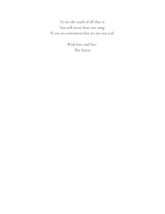To see the truth of all that is. You will never hear our song. If you are convinced that we are not real.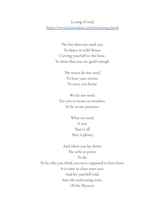## {a song of rest}

<https://www.joannadane.com/sirensong4.html>

The fire does not need you. To dance in wild throes. Carving yourSelf to the bone. To show that you are good enough.

> The waves do not need. To hear your stories. To carry you home.

We do not need. For you to weave us wonders. To be in our presence.

> What we need. Is you. That is all. That is plenty.

And when you lay down. The ache to prove. To do.

To be who you think you were supposed to have been. It is time to close your eyes. And let yourSelf sink. Into the welcoming arms. Of the Mystery.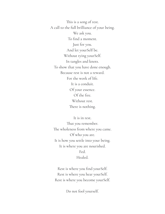This is a song of rest. A call to the full brilliance of your being. We ask you. To find a moment. Just for you. And let yourSelf be. Without tying yourSelf. In tangles and knots. To show that you have done enough. Because rest is not a reward. For the work of life. It is a conduit. Of your essence. Of the fire. Without rest. There is nothing.

It is in rest. That you remember. The wholeness from where you came. Of who you are. It is how you settle into your being. It is where you are nourished. Fed. Healed.

Rest is where you find your Self. Rest is where you hear yourSelf. Rest is where you become yourSelf.

Do not fool yourself.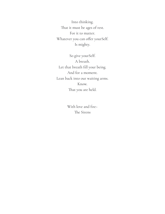Into thinking. That it must be ages of rest. For it to matter. Whatever you can offer yourSelf. Is mighty.

So give yourSelf. A breath. Let that breath fill your being. And for a moment. Lean back into our waiting arms. Know. That you are held.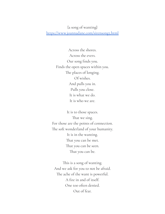# {a song of wanting}

<https://www.joannadane.com/sirensong5.html>

Across the shores. Across the evers. Our song finds you. Finds the open spaces within you. The places of longing. Of wishes. And pulls you in. Pulls you close. It is what we do. It is who we are.

It is to those spaces. That we sing. For those are the points of connection. The soft wonderland of your humanity. It is in the wanting. That you can be met. That you can be seen. That you can be.

This is a song of wanting. And we ask for you to not be afraid. The ache of the want is powerful. A fire in and of itself. One too often denied. Out of fear.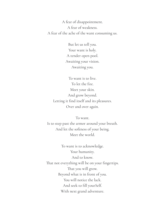A fear of disappointment. A fear of weakness. A fear of the ache of the want consuming us.

> But let us tell you. Your want is holy. A tender open pool. Awaiting your vision. Awaiting you.

To want is to live. To let the fire. Meet your skin. And grow beyond. Letting it find itself and its pleasures. Over and over again.

To want. Is to step past the armor around your breath. And let the softness of your being. Meet the world.

To want is to acknowledge. Your humanity. And to know. That not everything will be on your fingertips. That you will grow. Beyond what is in front of you. You will notice the lack. And seek to fill yourSelf. With next grand adventure.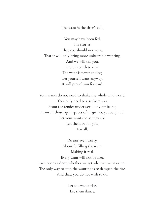The want is the siren's call.

You may have been fed. The stories. That you should not want. That it will only bring more unbearable wanting. And we will tell you. There is truth to that. The want is never ending. Let yourself want anyway. It will propel you forward.

Your wants do not need to shake the whole wild world. They only need to rise from you. From the tender underworld of your being. From all those open spaces of magic not yet conjured. Let your wants be as they are. Let them be for you. For all.

Do not even worry. About fulfilling the want. Making it real. Every want will not be met. Each opens a door, whether we get what we want or not. The only way to stop the wanting is to dampen the fire. And that, you do not wish to do.

> Let the wants rise. Let them dance.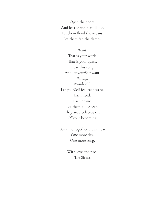Open the doors. And let the wants spill out. Let them flood the oceans. Let them fan the flames.

Want.

That is your work. That is your quest. Hear this song. And let yourSelf want. Wildly. Wonderful. Let yourSelf feel each want. Each need. Each desire. Let them all be seen. They are a celebration. Of your becoming.

Our time together draws near. One more day. One more song.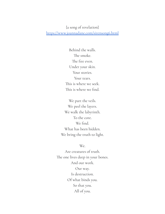{a song of revelation} <https://www.joannadane.com/sirensong6.html>

> Behind the walls. The smoke. The fire even. Under your skin. Your stories. Your tears. This is where we seek. This is where we find.

We part the veils. We peel the layers. We walk the labyrinth. To the core. We find. What has been hidden. We bring the truth to light.

We.

Are creatures of truth. The one lives deep in your bones. And our work. Our way. Is destruction. Of what binds you. So that you. All of you.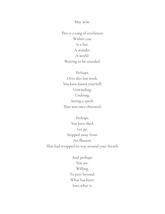May arise.

This is a song of revelation. Within you. Is a fire. A wonder. A world. Waiting to be revealed.

Perhaps. Over this last week. You have found your Self. Unwinding. Undoing. Seeing a spark. That was once obscured.

Perhaps. You have shed. Let go. Stepped away from. An illusion. That had wrapped its way around your breath.

> And perhaps. You are. Willing. To peer beyond. What has been. Into what is.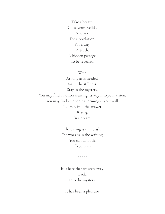Take a breath. Close your eyelids. And ask. For a revelation. For a way. A truth. A hidden passage. To be revealed.

Wait.

As long as is needed. Sit in the stillness. Stay in the mystery. You may find a notion weaving its way into your vision. You may find an opening forming at your will. You may find the answer. Rising.

In a dream.

The daring is in the ask. The work is in the waiting. You can do both. If you wish.

\*\*\*\*\*

It is here that we step away. Back. Into the mystery.

It has been a pleasure.